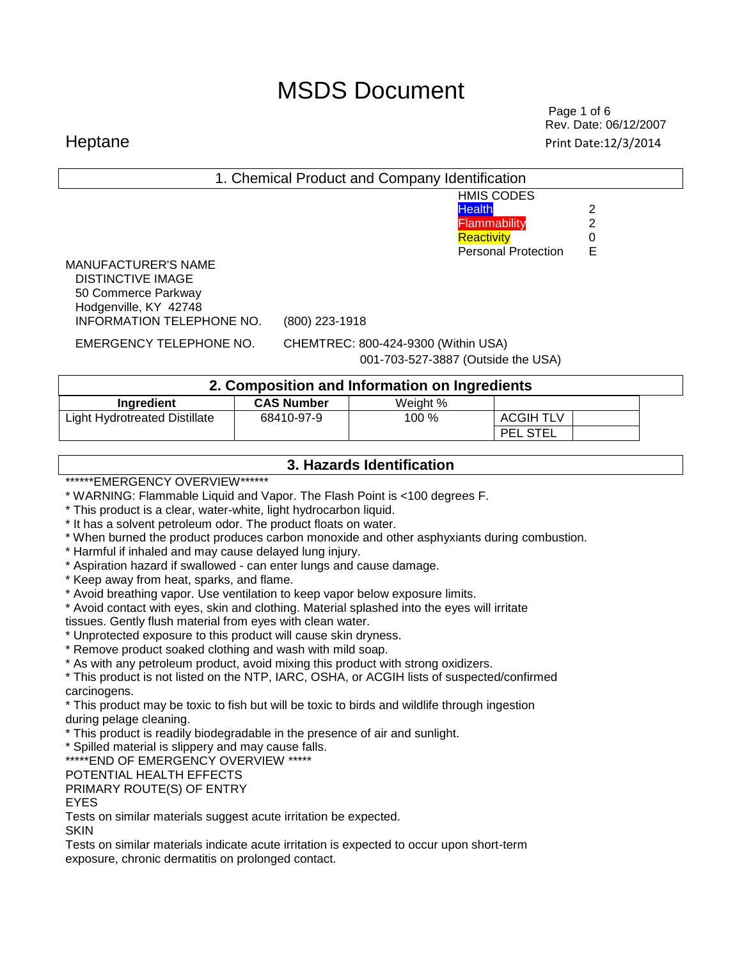Page 1 of 6  $\sim$  7  $\sim$  7  $\sim$  7  $\sim$  7  $\sim$  7  $\sim$  7  $\sim$  7  $\sim$  6  $\sim$  7  $\sim$  7  $\sim$  7  $\sim$  7  $\sim$  7  $\sim$  7  $\sim$  7  $\sim$  7  $\sim$  7  $\sim$  7  $\sim$  7  $\sim$  7  $\sim$  7  $\sim$  7  $\sim$  7  $\sim$  7  $\sim$  7  $\sim$  7  $\sim$  7  $\sim$  7  $\sim$  7  $\sim$  7 Rev. Date: 06/12/2007 Heptane Print Date:12/3/2014

| 1. Chemical Product and Company Identification                                                                                                                                                                                                                                                                                                                                                                                                                                                                                                                                                                                                                                                                                                                                                                                                                                                                                                                                                                                                                                                                                                                                                                                                                                                                                                                                         |                   |          |                                                                                                |                                          |  |  |
|----------------------------------------------------------------------------------------------------------------------------------------------------------------------------------------------------------------------------------------------------------------------------------------------------------------------------------------------------------------------------------------------------------------------------------------------------------------------------------------------------------------------------------------------------------------------------------------------------------------------------------------------------------------------------------------------------------------------------------------------------------------------------------------------------------------------------------------------------------------------------------------------------------------------------------------------------------------------------------------------------------------------------------------------------------------------------------------------------------------------------------------------------------------------------------------------------------------------------------------------------------------------------------------------------------------------------------------------------------------------------------------|-------------------|----------|------------------------------------------------------------------------------------------------|------------------------------------------|--|--|
|                                                                                                                                                                                                                                                                                                                                                                                                                                                                                                                                                                                                                                                                                                                                                                                                                                                                                                                                                                                                                                                                                                                                                                                                                                                                                                                                                                                        |                   |          | <b>HMIS CODES</b><br><b>Health</b><br>Flammability<br>Reactivity<br><b>Personal Protection</b> | $\mathbf{2}$<br>$\overline{2}$<br>0<br>E |  |  |
| <b>MANUFACTURER'S NAME</b><br><b>DISTINCTIVE IMAGE</b><br>50 Commerce Parkway<br>Hodgenville, KY 42748<br>INFORMATION TELEPHONE NO.                                                                                                                                                                                                                                                                                                                                                                                                                                                                                                                                                                                                                                                                                                                                                                                                                                                                                                                                                                                                                                                                                                                                                                                                                                                    | (800) 223-1918    |          |                                                                                                |                                          |  |  |
| <b>EMERGENCY TELEPHONE NO.</b><br>CHEMTREC: 800-424-9300 (Within USA)<br>001-703-527-3887 (Outside the USA)                                                                                                                                                                                                                                                                                                                                                                                                                                                                                                                                                                                                                                                                                                                                                                                                                                                                                                                                                                                                                                                                                                                                                                                                                                                                            |                   |          |                                                                                                |                                          |  |  |
| 2. Composition and Information on Ingredients                                                                                                                                                                                                                                                                                                                                                                                                                                                                                                                                                                                                                                                                                                                                                                                                                                                                                                                                                                                                                                                                                                                                                                                                                                                                                                                                          |                   |          |                                                                                                |                                          |  |  |
| Ingredient                                                                                                                                                                                                                                                                                                                                                                                                                                                                                                                                                                                                                                                                                                                                                                                                                                                                                                                                                                                                                                                                                                                                                                                                                                                                                                                                                                             | <b>CAS Number</b> | Weight % |                                                                                                |                                          |  |  |
| <b>Light Hydrotreated Distillate</b>                                                                                                                                                                                                                                                                                                                                                                                                                                                                                                                                                                                                                                                                                                                                                                                                                                                                                                                                                                                                                                                                                                                                                                                                                                                                                                                                                   | 68410-97-9        | 100 %    | <b>ACGIH TLV</b><br><b>PEL STEL</b>                                                            |                                          |  |  |
| 3. Hazards Identification                                                                                                                                                                                                                                                                                                                                                                                                                                                                                                                                                                                                                                                                                                                                                                                                                                                                                                                                                                                                                                                                                                                                                                                                                                                                                                                                                              |                   |          |                                                                                                |                                          |  |  |
| ******EMERGENCY OVERVIEW******<br>* WARNING: Flammable Liquid and Vapor. The Flash Point is <100 degrees F.<br>* This product is a clear, water-white, light hydrocarbon liquid.<br>* It has a solvent petroleum odor. The product floats on water.<br>* When burned the product produces carbon monoxide and other asphyxiants during combustion.<br>* Harmful if inhaled and may cause delayed lung injury.<br>* Aspiration hazard if swallowed - can enter lungs and cause damage.<br>* Keep away from heat, sparks, and flame.<br>* Avoid breathing vapor. Use ventilation to keep vapor below exposure limits.<br>* Avoid contact with eyes, skin and clothing. Material splashed into the eyes will irritate<br>tissues. Gently flush material from eyes with clean water.<br>* Unprotected exposure to this product will cause skin dryness.<br>* Remove product soaked clothing and wash with mild soap.<br>* As with any petroleum product, avoid mixing this product with strong oxidizers.<br>* This product is not listed on the NTP, IARC, OSHA, or ACGIH lists of suspected/confirmed<br>carcinogens.<br>* This product may be toxic to fish but will be toxic to birds and wildlife through ingestion<br>during pelage cleaning.<br>* This product is readily biodegradable in the presence of air and sunlight.<br>* Spilled material is slippery and may cause falls. |                   |          |                                                                                                |                                          |  |  |

\*\*\*\*\*END OF EMERGENCY OVERVIEW \*\*\*\*\*

POTENTIAL HEALTH EFFECTS

PRIMARY ROUTE(S) OF ENTRY

EYES

Tests on similar materials suggest acute irritation be expected.

**SKIN** 

Tests on similar materials indicate acute irritation is expected to occur upon short-term exposure, chronic dermatitis on prolonged contact.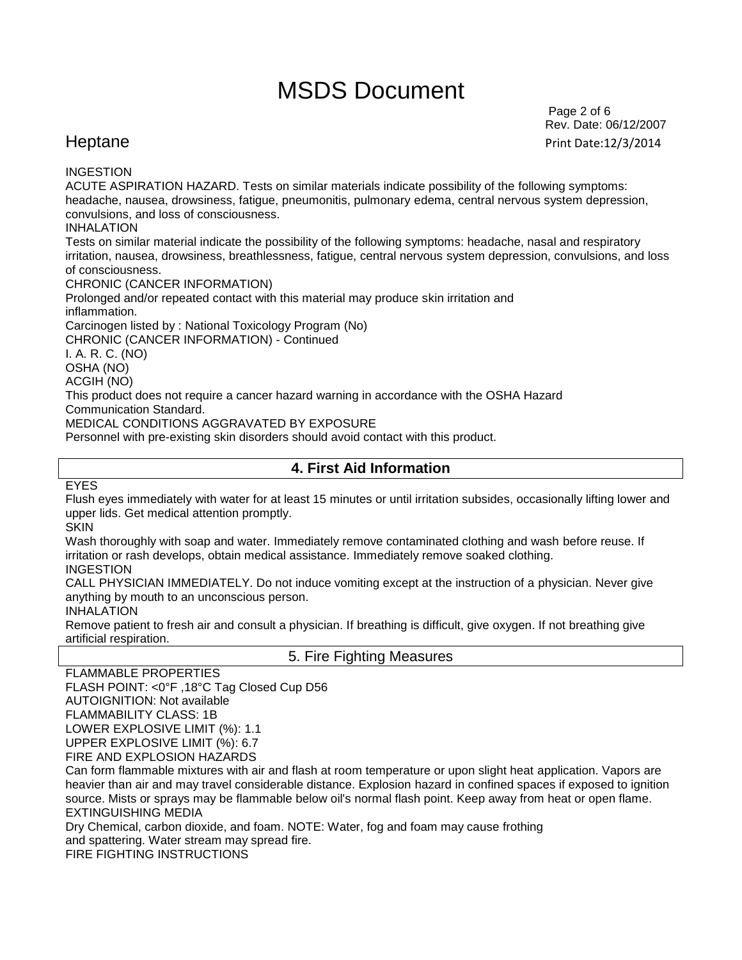Page 2 of 6 Rev. Date: 06/12/2007 Heptane Print Date:12/3/2014

### INGESTION

ACUTE ASPIRATION HAZARD. Tests on similar materials indicate possibility of the following symptoms: headache, nausea, drowsiness, fatigue, pneumonitis, pulmonary edema, central nervous system depression, convulsions, and loss of consciousness.

### INHALATION

Tests on similar material indicate the possibility of the following symptoms: headache, nasal and respiratory irritation, nausea, drowsiness, breathlessness, fatigue, central nervous system depression, convulsions, and loss of consciousness.

CHRONIC (CANCER INFORMATION)

Prolonged and/or repeated contact with this material may produce skin irritation and inflammation.

Carcinogen listed by : National Toxicology Program (No)

CHRONIC (CANCER INFORMATION) - Continued

I. A. R. C. (NO)

OSHA (NO)

ACGIH (NO)

This product does not require a cancer hazard warning in accordance with the OSHA Hazard

Communication Standard.

MEDICAL CONDITIONS AGGRAVATED BY EXPOSURE

Personnel with pre-existing skin disorders should avoid contact with this product.

## **4. First Aid Information**

EYES

Flush eyes immediately with water for at least 15 minutes or until irritation subsides, occasionally lifting lower and upper lids. Get medical attention promptly.

SKIN

Wash thoroughly with soap and water. Immediately remove contaminated clothing and wash before reuse. If irritation or rash develops, obtain medical assistance. Immediately remove soaked clothing.

### INGESTION

CALL PHYSICIAN IMMEDIATELY. Do not induce vomiting except at the instruction of a physician. Never give anything by mouth to an unconscious person.

INHALATION

Remove patient to fresh air and consult a physician. If breathing is difficult, give oxygen. If not breathing give artificial respiration.

## 5. Fire Fighting Measures

FLAMMABLE PROPERTIES FLASH POINT: <0°F ,18°C Tag Closed Cup D56 AUTOIGNITION: Not available FLAMMABILITY CLASS: 1B LOWER EXPLOSIVE LIMIT (%): 1.1 UPPER EXPLOSIVE LIMIT (%): 6.7 FIRE AND EXPLOSION HAZARDS

Can form flammable mixtures with air and flash at room temperature or upon slight heat application. Vapors are heavier than air and may travel considerable distance. Explosion hazard in confined spaces if exposed to ignition source. Mists or sprays may be flammable below oil's normal flash point. Keep away from heat or open flame. EXTINGUISHING MEDIA

Dry Chemical, carbon dioxide, and foam. NOTE: Water, fog and foam may cause frothing and spattering. Water stream may spread fire. FIRE FIGHTING INSTRUCTIONS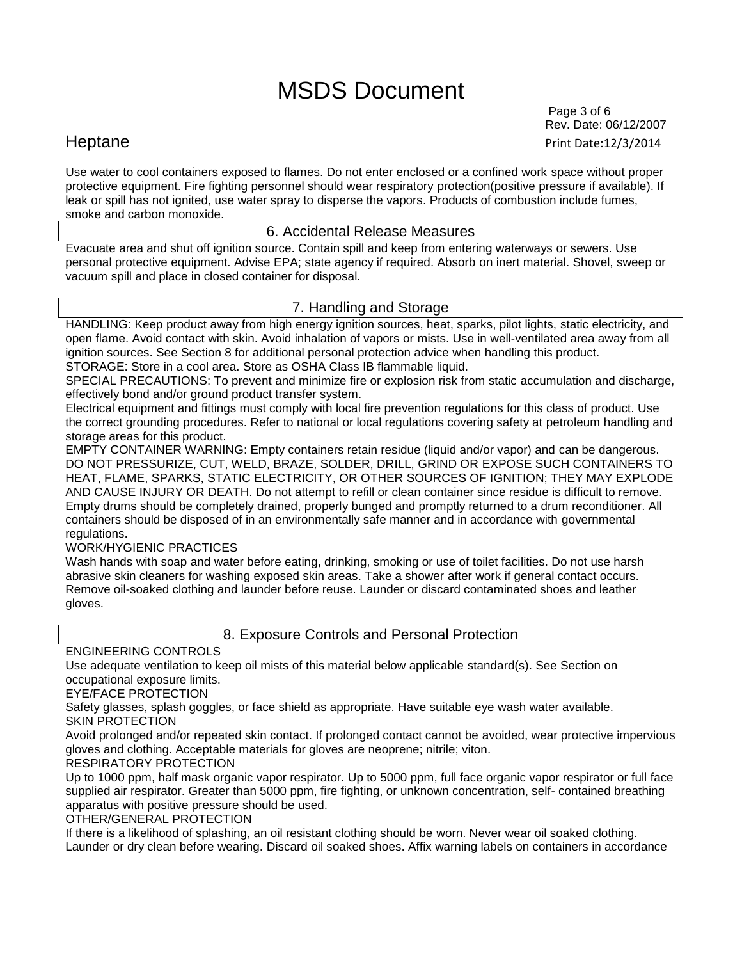Page 3 of 6 Rev. Date: 06/12/2007 Heptane Print Date:12/3/2014

Use water to cool containers exposed to flames. Do not enter enclosed or a confined work space without proper protective equipment. Fire fighting personnel should wear respiratory protection(positive pressure if available). If leak or spill has not ignited, use water spray to disperse the vapors. Products of combustion include fumes, smoke and carbon monoxide.

## 6. Accidental Release Measures

Evacuate area and shut off ignition source. Contain spill and keep from entering waterways or sewers. Use personal protective equipment. Advise EPA; state agency if required. Absorb on inert material. Shovel, sweep or vacuum spill and place in closed container for disposal.

## 7. Handling and Storage

HANDLING: Keep product away from high energy ignition sources, heat, sparks, pilot lights, static electricity, and open flame. Avoid contact with skin. Avoid inhalation of vapors or mists. Use in well-ventilated area away from all ignition sources. See Section 8 for additional personal protection advice when handling this product.

STORAGE: Store in a cool area. Store as OSHA Class IB flammable liquid.

SPECIAL PRECAUTIONS: To prevent and minimize fire or explosion risk from static accumulation and discharge, effectively bond and/or ground product transfer system.

Electrical equipment and fittings must comply with local fire prevention regulations for this class of product. Use the correct grounding procedures. Refer to national or local regulations covering safety at petroleum handling and storage areas for this product.

EMPTY CONTAINER WARNING: Empty containers retain residue (liquid and/or vapor) and can be dangerous. DO NOT PRESSURIZE, CUT, WELD, BRAZE, SOLDER, DRILL, GRIND OR EXPOSE SUCH CONTAINERS TO HEAT, FLAME, SPARKS, STATIC ELECTRICITY, OR OTHER SOURCES OF IGNITION; THEY MAY EXPLODE AND CAUSE INJURY OR DEATH. Do not attempt to refill or clean container since residue is difficult to remove. Empty drums should be completely drained, properly bunged and promptly returned to a drum reconditioner. All containers should be disposed of in an environmentally safe manner and in accordance with governmental regulations.

WORK/HYGIENIC PRACTICES

Wash hands with soap and water before eating, drinking, smoking or use of toilet facilities. Do not use harsh abrasive skin cleaners for washing exposed skin areas. Take a shower after work if general contact occurs. Remove oil-soaked clothing and launder before reuse. Launder or discard contaminated shoes and leather gloves.

8. Exposure Controls and Personal Protection

ENGINEERING CONTROLS

Use adequate ventilation to keep oil mists of this material below applicable standard(s). See Section on occupational exposure limits.

EYE/FACE PROTECTION

Safety glasses, splash goggles, or face shield as appropriate. Have suitable eye wash water available. SKIN PROTECTION

Avoid prolonged and/or repeated skin contact. If prolonged contact cannot be avoided, wear protective impervious gloves and clothing. Acceptable materials for gloves are neoprene; nitrile; viton.

RESPIRATORY PROTECTION

Up to 1000 ppm, half mask organic vapor respirator. Up to 5000 ppm, full face organic vapor respirator or full face supplied air respirator. Greater than 5000 ppm, fire fighting, or unknown concentration, self- contained breathing apparatus with positive pressure should be used.

OTHER/GENERAL PROTECTION

If there is a likelihood of splashing, an oil resistant clothing should be worn. Never wear oil soaked clothing. Launder or dry clean before wearing. Discard oil soaked shoes. Affix warning labels on containers in accordance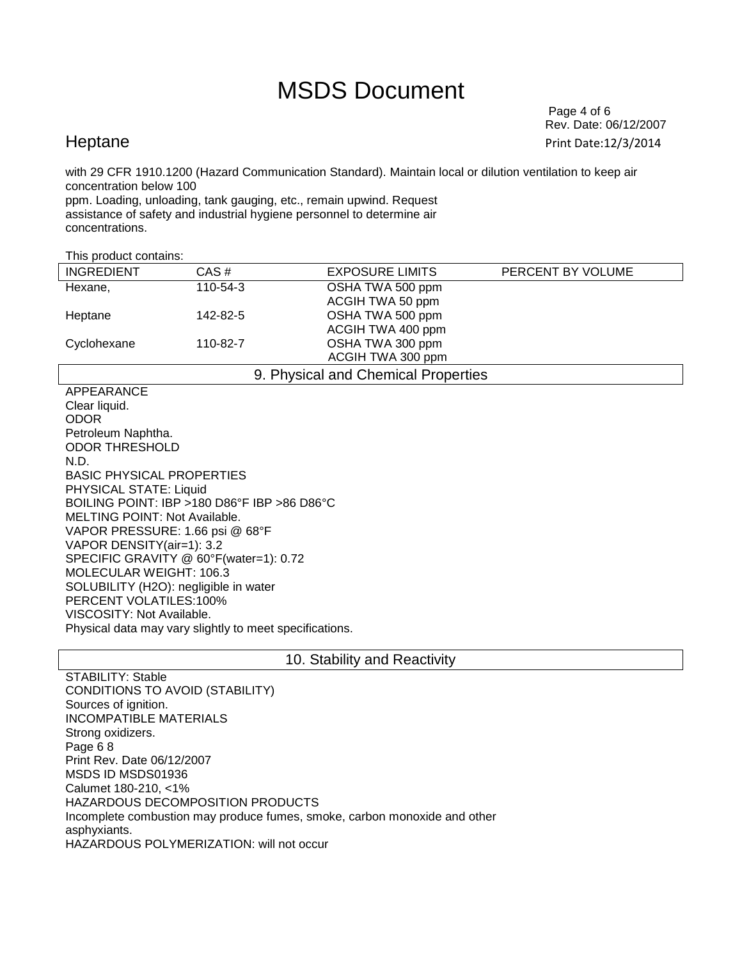Page 4 of 6 Rev. Date: 06/12/2007 Heptane Print Date:12/3/2014

with 29 CFR 1910.1200 (Hazard Communication Standard). Maintain local or dilution ventilation to keep air concentration below 100

ppm. Loading, unloading, tank gauging, etc., remain upwind. Request assistance of safety and industrial hygiene personnel to determine air concentrations.

| This product contains:              |          |                        |                   |  |
|-------------------------------------|----------|------------------------|-------------------|--|
| <b>INGREDIENT</b>                   | CAS#     | <b>EXPOSURE LIMITS</b> | PERCENT BY VOLUME |  |
| Hexane,                             | 110-54-3 | OSHA TWA 500 ppm       |                   |  |
|                                     |          | ACGIH TWA 50 ppm       |                   |  |
| Heptane                             | 142-82-5 | OSHA TWA 500 ppm       |                   |  |
|                                     |          | ACGIH TWA 400 ppm      |                   |  |
| Cyclohexane                         | 110-82-7 | OSHA TWA 300 ppm       |                   |  |
|                                     |          | ACGIH TWA 300 ppm      |                   |  |
| 9. Physical and Chemical Properties |          |                        |                   |  |

APPEARANCE Clear liquid. ODOR Petroleum Naphtha. ODOR THRESHOLD N.D. BASIC PHYSICAL PROPERTIES PHYSICAL STATE: Liquid BOILING POINT: IBP >180 D86°F IBP >86 D86°C MELTING POINT: Not Available. VAPOR PRESSURE: 1.66 psi @ 68°F VAPOR DENSITY(air=1): 3.2 SPECIFIC GRAVITY @ 60°F(water=1): 0.72 MOLECULAR WEIGHT: 106.3 SOLUBILITY (H2O): negligible in water PERCENT VOLATILES:100% VISCOSITY: Not Available. Physical data may vary slightly to meet specifications.

### 10. Stability and Reactivity

STABILITY: Stable CONDITIONS TO AVOID (STABILITY) Sources of ignition. INCOMPATIBLE MATERIALS Strong oxidizers. Page 6 8 Print Rev. Date 06/12/2007 MSDS ID MSDS01936 Calumet 180-210, <1% HAZARDOUS DECOMPOSITION PRODUCTS Incomplete combustion may produce fumes, smoke, carbon monoxide and other asphyxiants. HAZARDOUS POLYMERIZATION: will not occur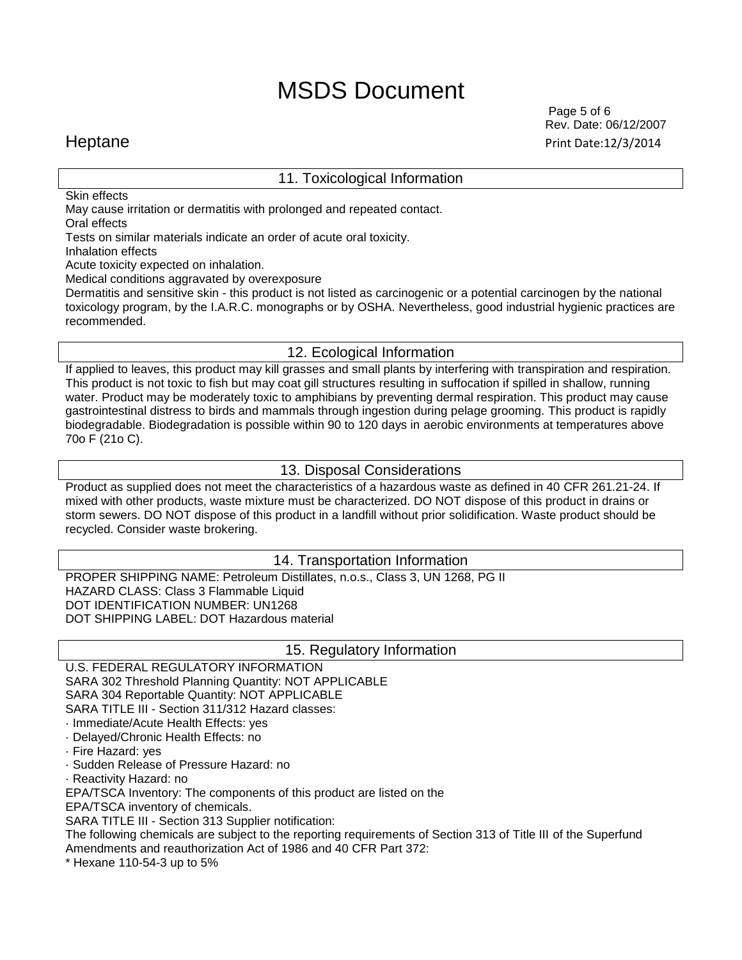11. Toxicological Information

 Page 5 of 6 Rev. Date: 06/12/2007 Heptane Print Date:12/3/2014

Skin effects

May cause irritation or dermatitis with prolonged and repeated contact.

Oral effects

Tests on similar materials indicate an order of acute oral toxicity.

Inhalation effects

Acute toxicity expected on inhalation.

Medical conditions aggravated by overexposure

Dermatitis and sensitive skin - this product is not listed as carcinogenic or a potential carcinogen by the national toxicology program, by the I.A.R.C. monographs or by OSHA. Nevertheless, good industrial hygienic practices are recommended.

## 12. Ecological Information

If applied to leaves, this product may kill grasses and small plants by interfering with transpiration and respiration. This product is not toxic to fish but may coat gill structures resulting in suffocation if spilled in shallow, running water. Product may be moderately toxic to amphibians by preventing dermal respiration. This product may cause gastrointestinal distress to birds and mammals through ingestion during pelage grooming. This product is rapidly biodegradable. Biodegradation is possible within 90 to 120 days in aerobic environments at temperatures above 70o F (21o C).

## 13. Disposal Considerations

Product as supplied does not meet the characteristics of a hazardous waste as defined in 40 CFR 261.21-24. If mixed with other products, waste mixture must be characterized. DO NOT dispose of this product in drains or storm sewers. DO NOT dispose of this product in a landfill without prior solidification. Waste product should be recycled. Consider waste brokering.

## 14. Transportation Information

PROPER SHIPPING NAME: Petroleum Distillates, n.o.s., Class 3, UN 1268, PG II HAZARD CLASS: Class 3 Flammable Liquid DOT IDENTIFICATION NUMBER: UN1268 DOT SHIPPING LABEL: DOT Hazardous material

## 15. Regulatory Information

U.S. FEDERAL REGULATORY INFORMATION

SARA 302 Threshold Planning Quantity: NOT APPLICABLE

SARA 304 Reportable Quantity: NOT APPLICABLE

SARA TITLE III - Section 311/312 Hazard classes:

· Immediate/Acute Health Effects: yes

· Delayed/Chronic Health Effects: no

· Fire Hazard: yes

· Sudden Release of Pressure Hazard: no

· Reactivity Hazard: no

EPA/TSCA Inventory: The components of this product are listed on the

EPA/TSCA inventory of chemicals.

SARA TITLE III - Section 313 Supplier notification:

The following chemicals are subject to the reporting requirements of Section 313 of Title III of the Superfund Amendments and reauthorization Act of 1986 and 40 CFR Part 372:

\* Hexane 110-54-3 up to 5%